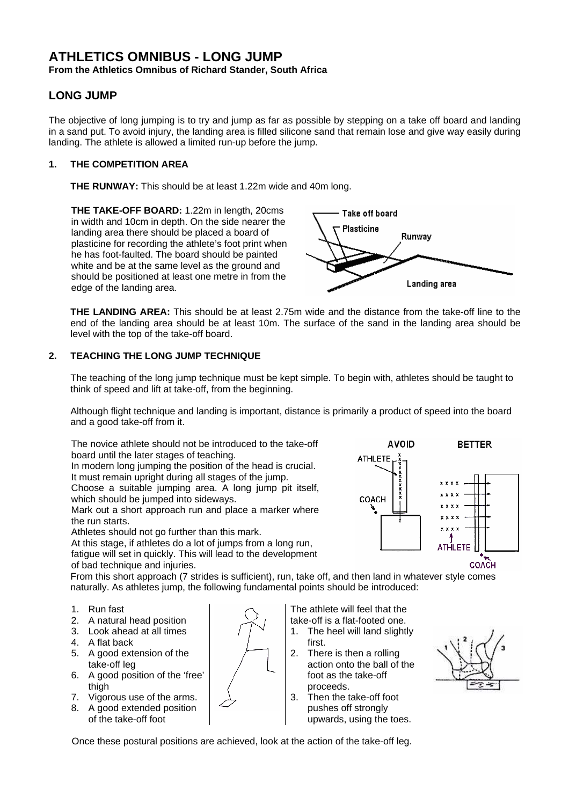# **ATHLETICS OMNIBUS - LONG JUMP From the Athletics Omnibus of Richard Stander, South Africa**

# **LONG JUMP**

The objective of long jumping is to try and jump as far as possible by stepping on a take off board and landing in a sand put. To avoid injury, the landing area is filled silicone sand that remain lose and give way easily during landing. The athlete is allowed a limited run-up before the jump.

# **1. THE COMPETITION AREA**

**THE RUNWAY:** This should be at least 1.22m wide and 40m long.

**THE TAKE-OFF BOARD:** 1.22m in length, 20cms in width and 10cm in depth. On the side nearer the landing area there should be placed a board of plasticine for recording the athlete's foot print when he has foot-faulted. The board should be painted white and be at the same level as the ground and should be positioned at least one metre in from the edge of the landing area.



**THE LANDING AREA:** This should be at least 2.75m wide and the distance from the take-off line to the end of the landing area should be at least 10m. The surface of the sand in the landing area should be level with the top of the take-off board.

# **2. TEACHING THE LONG JUMP TECHNIQUE**

The teaching of the long jump technique must be kept simple. To begin with, athletes should be taught to think of speed and lift at take-off, from the beginning.

Although flight technique and landing is important, distance is primarily a product of speed into the board and a good take-off from it.

The novice athlete should not be introduced to the take-off board until the later stages of teaching.

In modern long jumping the position of the head is crucial. It must remain upright during all stages of the jump.

Choose a suitable jumping area. A long jump pit itself, which should be jumped into sideways.

Mark out a short approach run and place a marker where the run starts.

Athletes should not go further than this mark.

At this stage, if athletes do a lot of jumps from a long run, fatigue will set in quickly. This will lead to the development of bad technique and injuries.



From this short approach (7 strides is sufficient), run, take off, and then land in whatever style comes naturally. As athletes jump, the following fundamental points should be introduced:

- 1. Run fast
- 2. A natural head position
- 3. Look ahead at all times
- 4. A flat back
- 5. A good extension of the take-off leg
- 6. A good position of the 'free' thigh
- 7. Vigorous use of the arms.
- 8. A good extended position of the take-off foot

The athlete will feel that the take-off is a flat-footed one.

- 1. The heel will land slightly first.
- 2. There is then a rolling action onto the ball of the foot as the take-off proceeds.
- 3. Then the take-off foot pushes off strongly upwards, using the toes.



Once these postural positions are achieved, look at the action of the take-off leg.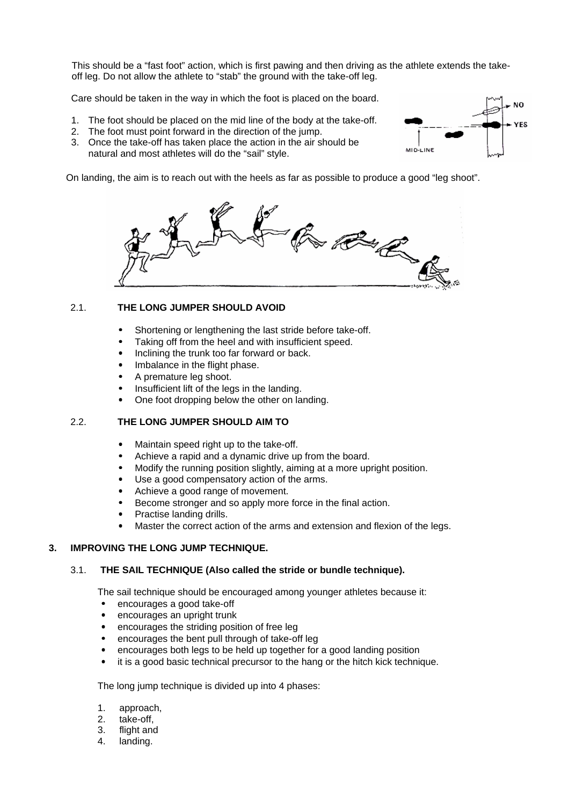This should be a "fast foot" action, which is first pawing and then driving as the athlete extends the takeoff leg. Do not allow the athlete to "stab" the ground with the take-off leg.

**NO** 

**YES** 

ΜΙΟ-ΕΙΝΕ

Care should be taken in the way in which the foot is placed on the board.

- 1. The foot should be placed on the mid line of the body at the take-off.
- 2. The foot must point forward in the direction of the jump.
- 3. Once the take-off has taken place the action in the air should be natural and most athletes will do the "sail" style.

On landing, the aim is to reach out with the heels as far as possible to produce a good "leg shoot".



# 2.1. **THE LONG JUMPER SHOULD AVOID**

- Shortening or lengthening the last stride before take-off.
- Taking off from the heel and with insufficient speed.
- Inclining the trunk too far forward or back.
- Imbalance in the flight phase.
- A premature leg shoot.
- Insufficient lift of the legs in the landing.
- One foot dropping below the other on landing.

# 2.2. **THE LONG JUMPER SHOULD AIM TO**

- Maintain speed right up to the take-off.
- Achieve a rapid and a dynamic drive up from the board.
- Modify the running position slightly, aiming at a more upright position.
- Use a good compensatory action of the arms.
- Achieve a good range of movement.
- Become stronger and so apply more force in the final action.
- Practise landing drills.
- Master the correct action of the arms and extension and flexion of the legs.

#### **3. IMPROVING THE LONG JUMP TECHNIQUE.**

### 3.1. **THE SAIL TECHNIQUE (Also called the stride or bundle technique).**

The sail technique should be encouraged among younger athletes because it:

- encourages a good take-off
- encourages an upright trunk
- encourages the striding position of free leg
- encourages the bent pull through of take-off leg
- encourages both legs to be held up together for a good landing position
- it is a good basic technical precursor to the hang or the hitch kick technique.

The long jump technique is divided up into 4 phases:

- 1. approach,
- 2. take-off,
- 3. flight and
- 4. landing.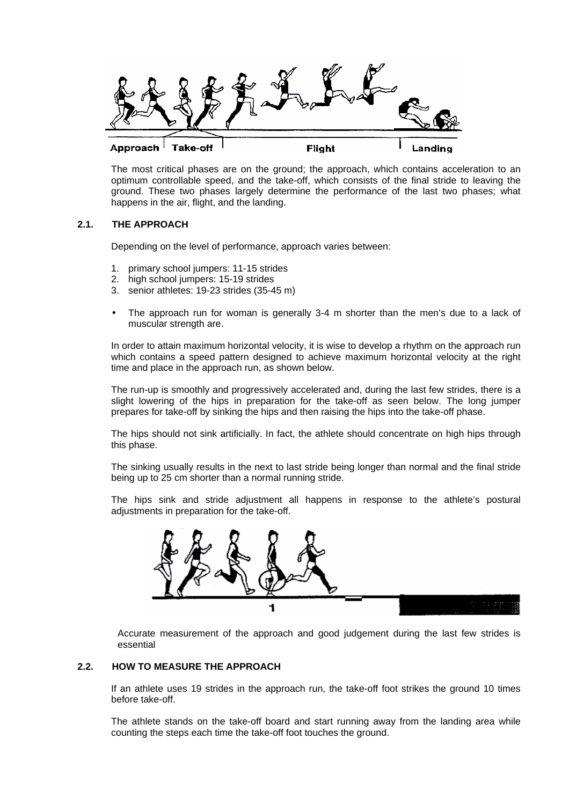

The most critical phases are on the ground; the approach, which contains acceleration to an optimum controllable speed, and the take-off, which consists of the final stride to leaving the ground. These two phases largely determine the performance of the last two phases; what happens in the air, flight, and the landing.

# **2.1. THE APPROACH**

Depending on the level of performance, approach varies between:

- 1. primary school jumpers: 11-15 strides
- 2. high school jumpers: 15-19 strides
- 3. senior athletes: 19-23 strides (35-45 m)
- The approach run for woman is generally 3-4 m shorter than the men's due to a lack of muscular strength are.

In order to attain maximum horizontal velocity, it is wise to develop a rhythm on the approach run which contains a speed pattern designed to achieve maximum horizontal velocity at the right time and place in the approach run, as shown below.

The run-up is smoothly and progressively accelerated and, during the last few strides, there is a slight lowering of the hips in preparation for the take-off as seen below. The long jumper prepares for take-off by sinking the hips and then raising the hips into the take-off phase.

The hips should not sink artificially. In fact, the athlete should concentrate on high hips through this phase.

The sinking usually results in the next to last stride being longer than normal and the final stride being up to 25 cm shorter than a normal running stride.

The hips sink and stride adjustment all happens in response to the athlete's postural adjustments in preparation for the take-off.



Accurate measurement of the approach and good judgement during the last few strides is essential

# **2.2. HOW TO MEASURE THE APPROACH**

If an athlete uses 19 strides in the approach run, the take-off foot strikes the ground 10 times before take-off.

The athlete stands on the take-off board and start running away from the landing area while counting the steps each time the take-off foot touches the ground.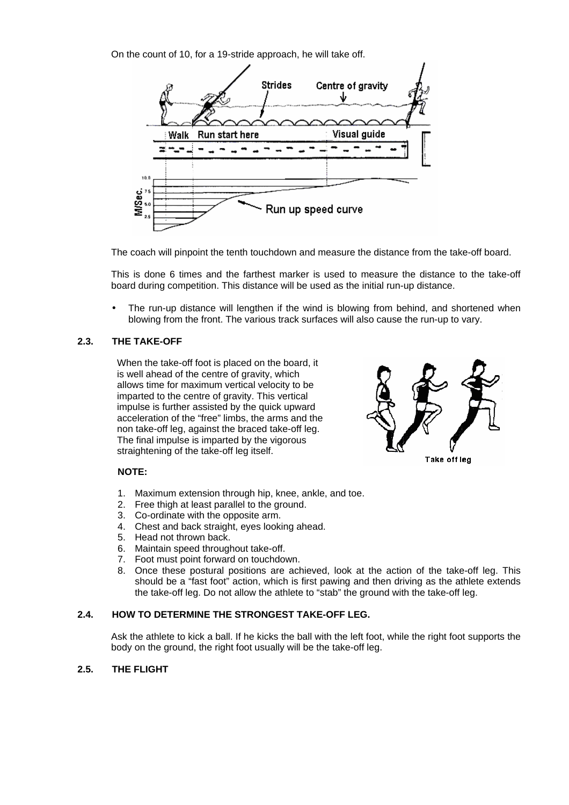On the count of 10, for a 19-stride approach, he will take off.



The coach will pinpoint the tenth touchdown and measure the distance from the take-off board.

This is done 6 times and the farthest marker is used to measure the distance to the take-off board during competition. This distance will be used as the initial run-up distance.

The run-up distance will lengthen if the wind is blowing from behind, and shortened when blowing from the front. The various track surfaces will also cause the run-up to vary.

# **2.3. THE TAKE-OFF**

When the take-off foot is placed on the board, it is well ahead of the centre of gravity, which allows time for maximum vertical velocity to be imparted to the centre of gravity. This vertical impulse is further assisted by the quick upward acceleration of the "free" limbs, the arms and the non take-off leg, against the braced take-off leg. The final impulse is imparted by the vigorous straightening of the take-off leg itself.



# **NOTE:**

- 1. Maximum extension through hip, knee, ankle, and toe.
- 2. Free thigh at least parallel to the ground.
- 3. Co-ordinate with the opposite arm.
- 4. Chest and back straight, eyes looking ahead.
- 5. Head not thrown back.
- 6. Maintain speed throughout take-off.
- 7. Foot must point forward on touchdown.
- 8. Once these postural positions are achieved, look at the action of the take-off leg. This should be a "fast foot" action, which is first pawing and then driving as the athlete extends the take-off leg. Do not allow the athlete to "stab" the ground with the take-off leg.

# **2.4. HOW TO DETERMINE THE STRONGEST TAKE-OFF LEG.**

Ask the athlete to kick a ball. If he kicks the ball with the left foot, while the right foot supports the body on the ground, the right foot usually will be the take-off leg.

# **2.5. THE FLIGHT**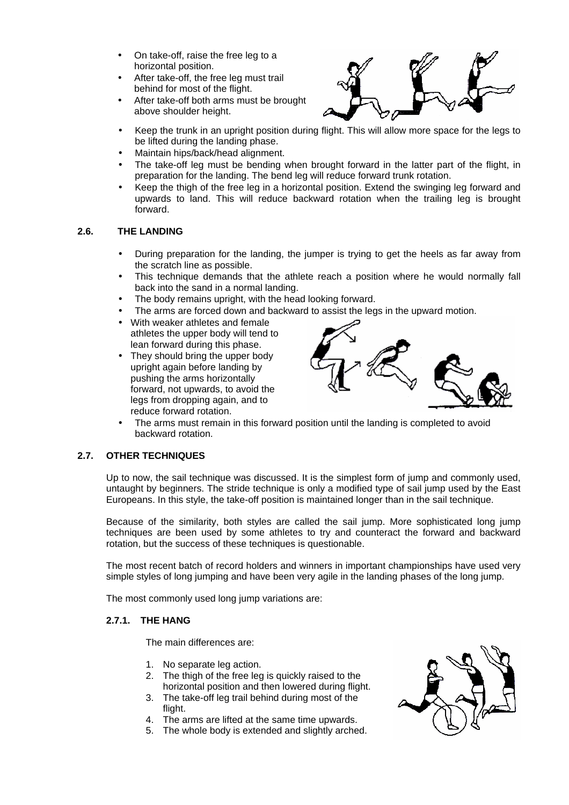- On take-off, raise the free leg to a horizontal position.
- After take-off, the free leg must trail behind for most of the flight.
- After take-off both arms must be brought above shoulder height.



- Keep the trunk in an upright position during flight. This will allow more space for the legs to be lifted during the landing phase.
- Maintain hips/back/head alignment.
- The take-off leg must be bending when brought forward in the latter part of the flight, in preparation for the landing. The bend leg will reduce forward trunk rotation.
- Keep the thigh of the free leg in a horizontal position. Extend the swinging leg forward and upwards to land. This will reduce backward rotation when the trailing leg is brought forward.

# **2.6. THE LANDING**

- During preparation for the landing, the jumper is trying to get the heels as far away from the scratch line as possible.
- This technique demands that the athlete reach a position where he would normally fall back into the sand in a normal landing.
- The body remains upright, with the head looking forward.
- The arms are forced down and backward to assist the legs in the upward motion.
- With weaker athletes and female athletes the upper body will tend to lean forward during this phase.
- They should bring the upper body upright again before landing by pushing the arms horizontally forward, not upwards, to avoid the legs from dropping again, and to reduce forward rotation.



The arms must remain in this forward position until the landing is completed to avoid backward rotation.

# **2.7. OTHER TECHNIQUES**

Up to now, the sail technique was discussed. It is the simplest form of jump and commonly used, untaught by beginners. The stride technique is only a modified type of sail jump used by the East Europeans. In this style, the take-off position is maintained longer than in the sail technique.

Because of the similarity, both styles are called the sail jump. More sophisticated long jump techniques are been used by some athletes to try and counteract the forward and backward rotation, but the success of these techniques is questionable.

The most recent batch of record holders and winners in important championships have used very simple styles of long jumping and have been very agile in the landing phases of the long jump.

The most commonly used long jump variations are:

# **2.7.1. THE HANG**

The main differences are:

- 1. No separate leg action.
- 2. The thigh of the free leg is quickly raised to the horizontal position and then lowered during flight.
- 3. The take-off leg trail behind during most of the flight.
- 4. The arms are lifted at the same time upwards.
- 5. The whole body is extended and slightly arched.

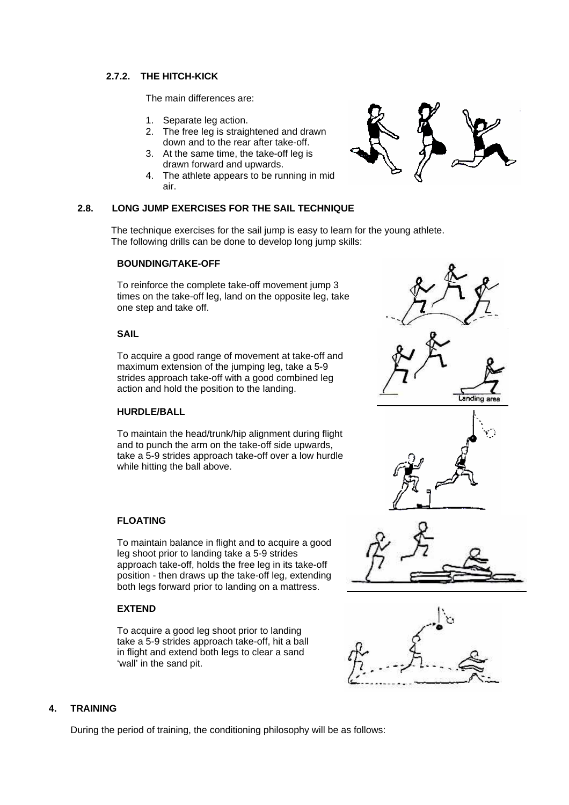# **2.7.2. THE HITCH-KICK**

The main differences are:

- 1. Separate leg action.
- 2. The free leg is straightened and drawn down and to the rear after take-off.
- 3. At the same time, the take-off leg is drawn forward and upwards.
- 4. The athlete appears to be running in mid air.

# **2.8. LONG JUMP EXERCISES FOR THE SAIL TECHNIQUE**

The technique exercises for the sail jump is easy to learn for the young athlete. The following drills can be done to develop long jump skills:

### **BOUNDING/TAKE-OFF**

To reinforce the complete take-off movement jump 3 times on the take-off leg, land on the opposite leg, take one step and take off.

### **SAIL**

To acquire a good range of movement at take-off and maximum extension of the jumping leg, take a 5-9 strides approach take-off with a good combined leg action and hold the position to the landing.

#### **HURDLE/BALL**

To maintain the head/trunk/hip alignment during flight and to punch the arm on the take-off side upwards, take a 5-9 strides approach take-off over a low hurdle while hitting the ball above.

# **FLOATING**

To maintain balance in flight and to acquire a good leg shoot prior to landing take a 5-9 strides approach take-off, holds the free leg in its take-off position - then draws up the take-off leg, extending both legs forward prior to landing on a mattress.

# **EXTEND**

To acquire a good leg shoot prior to landing take a 5-9 strides approach take-off, hit a ball in flight and extend both legs to clear a sand 'wall' in the sand pit.





# **4. TRAINING**

During the period of training, the conditioning philosophy will be as follows: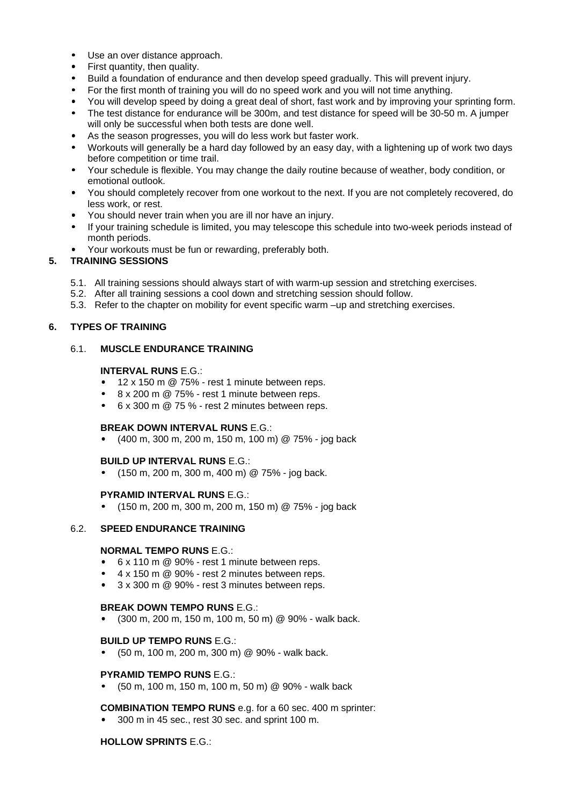- Use an over distance approach.
- First quantity, then quality.
- Build a foundation of endurance and then develop speed gradually. This will prevent injury.
- For the first month of training you will do no speed work and you will not time anything.
- You will develop speed by doing a great deal of short, fast work and by improving your sprinting form.
- The test distance for endurance will be 300m, and test distance for speed will be 30-50 m. A jumper will only be successful when both tests are done well.
- As the season progresses, you will do less work but faster work.
- Workouts will generally be a hard day followed by an easy day, with a lightening up of work two days before competition or time trail.
- Your schedule is flexible. You may change the daily routine because of weather, body condition, or emotional outlook.
- You should completely recover from one workout to the next. If you are not completely recovered, do less work, or rest.
- You should never train when you are ill nor have an injury.
- If your training schedule is limited, you may telescope this schedule into two-week periods instead of month periods.
- Your workouts must be fun or rewarding, preferably both.

### **5. TRAINING SESSIONS**

- 5.1. All training sessions should always start of with warm-up session and stretching exercises.
- 5.2. After all training sessions a cool down and stretching session should follow.
- 5.3. Refer to the chapter on mobility for event specific warm –up and stretching exercises.

### **6. TYPES OF TRAINING**

### 6.1. **MUSCLE ENDURANCE TRAINING**

### **INTERVAL RUNS** E.G.:

- 12 x 150 m @ 75% rest 1 minute between reps.
- 8 x 200 m @ 75% rest 1 minute between reps.
- 6 x 300 m @ 75 % rest 2 minutes between reps.

#### **BREAK DOWN INTERVAL RUNS** E.G.:

• (400 m, 300 m, 200 m, 150 m, 100 m) @ 75% - jog back

#### **BUILD UP INTERVAL RUNS** E.G.:

 $\bullet$  (150 m, 200 m, 300 m, 400 m) @ 75% - jog back.

#### **PYRAMID INTERVAL RUNS** E.G.:

• (150 m, 200 m, 300 m, 200 m, 150 m) @ 75% - jog back

# 6.2. **SPEED ENDURANCE TRAINING**

### **NORMAL TEMPO RUNS** E.G.:

- 6 x 110 m @ 90% rest 1 minute between reps.
- 4 x 150 m @ 90% rest 2 minutes between reps.
- $\bullet$  3 x 300 m  $\omega$  90% rest 3 minutes between reps.

#### **BREAK DOWN TEMPO RUNS** E.G.:

• (300 m, 200 m, 150 m, 100 m, 50 m) @ 90% - walk back.

#### **BUILD UP TEMPO RUNS** E.G.:

• (50 m, 100 m, 200 m, 300 m) @ 90% - walk back.

#### **PYRAMID TEMPO RUNS** E.G.:

• (50 m, 100 m, 150 m, 100 m, 50 m) @ 90% - walk back

#### **COMBINATION TEMPO RUNS** e.g. for a 60 sec. 400 m sprinter:

• 300 m in 45 sec., rest 30 sec. and sprint 100 m.

#### **HOLLOW SPRINTS** E.G.: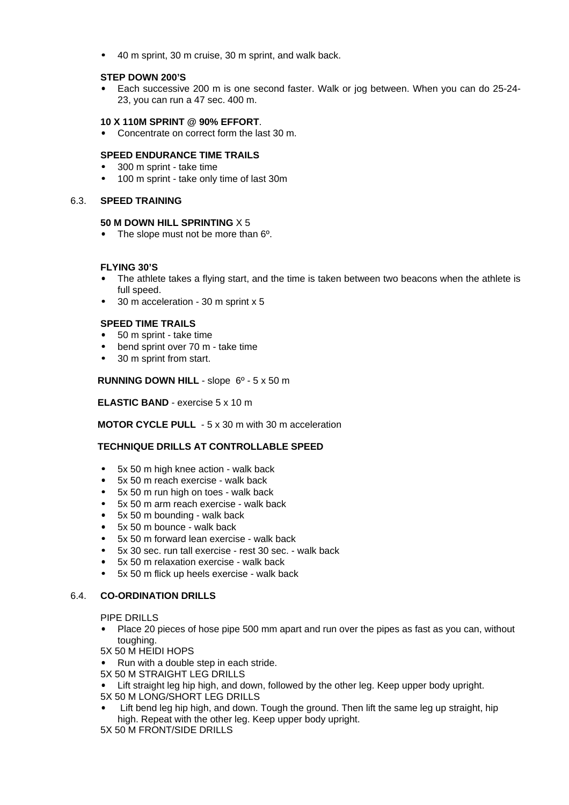• 40 m sprint, 30 m cruise, 30 m sprint, and walk back.

# **STEP DOWN 200'S**

• Each successive 200 m is one second faster. Walk or jog between. When you can do 25-24- 23, you can run a 47 sec. 400 m.

### **10 X 110M SPRINT @ 90% EFFORT**.

• Concentrate on correct form the last 30 m.

### **SPEED ENDURANCE TIME TRAILS**

- 300 m sprint take time
- 100 m sprint take only time of last 30m

#### 6.3. **SPEED TRAINING**

#### **50 M DOWN HILL SPRINTING** X 5

• The slope must not be more than 6<sup>o</sup>.

#### **FLYING 30'S**

- The athlete takes a flying start, and the time is taken between two beacons when the athlete is full speed.
- 30 m acceleration 30 m sprint x 5

### **SPEED TIME TRAILS**

- 50 m sprint take time
- bend sprint over 70 m take time
- 30 m sprint from start.

### **RUNNING DOWN HILL** - slope 6º - 5 x 50 m

#### **ELASTIC BAND** - exercise 5 x 10 m

#### **MOTOR CYCLE PULL** - 5 x 30 m with 30 m acceleration

# **TECHNIQUE DRILLS AT CONTROLLABLE SPEED**

- 5x 50 m high knee action walk back
- 5x 50 m reach exercise walk back
- 5x 50 m run high on toes walk back
- 5x 50 m arm reach exercise walk back
- 5x 50 m bounding walk back
- 5x 50 m bounce walk back
- 5x 50 m forward lean exercise walk back
- 5x 30 sec. run tall exercise rest 30 sec. walk back
- 5x 50 m relaxation exercise walk back
- 5x 50 m flick up heels exercise walk back

#### 6.4. **CO-ORDINATION DRILLS**

PIPE DRILLS

• Place 20 pieces of hose pipe 500 mm apart and run over the pipes as fast as you can, without toughing.

5X 50 M HEIDI HOPS

- Run with a double step in each stride.
- 5X 50 M STRAIGHT LEG DRILLS
- Lift straight leg hip high, and down, followed by the other leg. Keep upper body upright.
- 5X 50 M LONG/SHORT LEG DRILLS
- Lift bend leg hip high, and down. Tough the ground. Then lift the same leg up straight, hip high. Repeat with the other leg. Keep upper body upright.

5X 50 M FRONT/SIDE DRILLS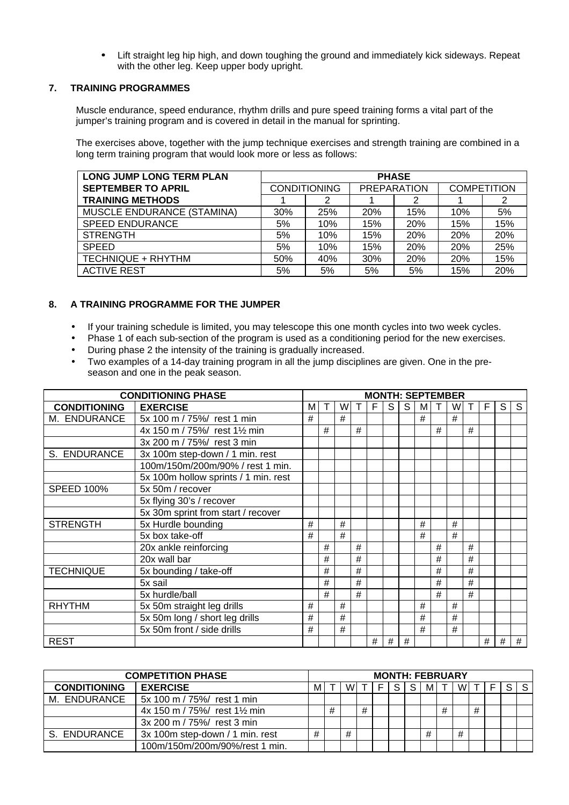• Lift straight leg hip high, and down toughing the ground and immediately kick sideways. Repeat with the other leg. Keep upper body upright.

# **7. TRAINING PROGRAMMES**

Muscle endurance, speed endurance, rhythm drills and pure speed training forms a vital part of the jumper's training program and is covered in detail in the manual for sprinting.

The exercises above, together with the jump technique exercises and strength training are combined in a long term training program that would look more or less as follows:

| <b>LONG JUMP LONG TERM PLAN</b> | <b>PHASE</b> |                     |                    |     |                    |     |  |  |  |  |  |  |  |  |
|---------------------------------|--------------|---------------------|--------------------|-----|--------------------|-----|--|--|--|--|--|--|--|--|
| <b>SEPTEMBER TO APRIL</b>       |              | <b>CONDITIONING</b> | <b>PREPARATION</b> |     | <b>COMPETITION</b> |     |  |  |  |  |  |  |  |  |
| <b>TRAINING METHODS</b>         |              |                     |                    | 2   |                    |     |  |  |  |  |  |  |  |  |
| MUSCLE ENDURANCE (STAMINA)      | 30%          | 25%                 | 20%                | 15% | 10%                | 5%  |  |  |  |  |  |  |  |  |
| <b>SPEED ENDURANCE</b>          | 5%           | 10%                 | 15%                | 20% | 15%                | 15% |  |  |  |  |  |  |  |  |
| <b>STRENGTH</b>                 | 5%           | 10%                 | 15%                | 20% | 20%                | 20% |  |  |  |  |  |  |  |  |
| <b>SPEED</b>                    | 5%           | 10%                 | 15%                | 20% | 20%                | 25% |  |  |  |  |  |  |  |  |
| TECHNIQUE + RHYTHM              | 50%          | 40%                 | 30%                | 20% | 20%                | 15% |  |  |  |  |  |  |  |  |
| <b>ACTIVE REST</b>              | 5%           | 5%                  | 5%                 | 5%  | 15%                | 20% |  |  |  |  |  |  |  |  |

# **8. A TRAINING PROGRAMME FOR THE JUMPER**

- If your training schedule is limited, you may telescope this one month cycles into two week cycles.
- Phase 1 of each sub-section of the program is used as a conditioning period for the new exercises.
- During phase 2 the intensity of the training is gradually increased.
- Two examples of a 14-day training program in all the jump disciplines are given. One in the preseason and one in the peak season.

| <b>CONDITIONING PHASE</b> |                                      |   |   |   |    |      |      | <b>MONTH: SEPTEMBER</b> |    |   |   |              |      |      |      |
|---------------------------|--------------------------------------|---|---|---|----|------|------|-------------------------|----|---|---|--------------|------|------|------|
| <b>CONDITIONING</b>       | <b>EXERCISE</b>                      | M | т | W | T. | E    | S.   | S                       | мı | Τ | W | $\mathsf{T}$ | F    | S    | S    |
| M. ENDURANCE              | 5x 100 m / 75%/ rest 1 min           | # |   | # |    |      |      |                         | #  |   | # |              |      |      |      |
|                           | 4x 150 m / 75%/ rest 1½ min          |   | # |   | #  |      |      |                         |    | # |   | #            |      |      |      |
|                           | 3x 200 m / 75%/ rest 3 min           |   |   |   |    |      |      |                         |    |   |   |              |      |      |      |
| S. ENDURANCE              | 3x 100m step-down / 1 min. rest      |   |   |   |    |      |      |                         |    |   |   |              |      |      |      |
|                           | 100m/150m/200m/90% / rest 1 min.     |   |   |   |    |      |      |                         |    |   |   |              |      |      |      |
|                           | 5x 100m hollow sprints / 1 min. rest |   |   |   |    |      |      |                         |    |   |   |              |      |      |      |
| <b>SPEED 100%</b>         | 5x 50m / recover                     |   |   |   |    |      |      |                         |    |   |   |              |      |      |      |
|                           | 5x flying 30's / recover             |   |   |   |    |      |      |                         |    |   |   |              |      |      |      |
|                           | 5x 30m sprint from start / recover   |   |   |   |    |      |      |                         |    |   |   |              |      |      |      |
| <b>STRENGTH</b>           | 5x Hurdle bounding                   | # |   | # |    |      |      |                         | #  |   | # |              |      |      |      |
|                           | 5x box take-off                      | # |   | # |    |      |      |                         | #  |   | # |              |      |      |      |
|                           | 20x ankle reinforcing                |   | # |   | #  |      |      |                         |    | # |   | #            |      |      |      |
|                           | 20x wall bar                         |   | # |   | #  |      |      |                         |    | # |   | #            |      |      |      |
| <b>TECHNIQUE</b>          | 5x bounding / take-off               |   | # |   | #  |      |      |                         |    | # |   | #            |      |      |      |
|                           | 5x sail                              |   | # |   | #  |      |      |                         |    | # |   | #            |      |      |      |
|                           | 5x hurdle/ball                       |   | # |   | #  |      |      |                         |    | # |   | #            |      |      |      |
| <b>RHYTHM</b>             | 5x 50m straight leg drills           | # |   | # |    |      |      |                         | #  |   | # |              |      |      |      |
|                           | 5x 50m long / short leg drills       | # |   | # |    |      |      |                         | #  |   | # |              |      |      |      |
|                           | 5x 50m front / side drills           | # |   | # |    |      |      |                         | #  |   | # |              |      |      |      |
| <b>REST</b>               |                                      |   |   |   |    | $\#$ | $\#$ | $\#$                    |    |   |   |              | $\#$ | $\#$ | $\#$ |

| <b>COMPETITION PHASE</b> |                                         | <b>MONTH: FEBRUARY</b> |   |   |     |       |    |    |       |   |   |   |  |   |   |
|--------------------------|-----------------------------------------|------------------------|---|---|-----|-------|----|----|-------|---|---|---|--|---|---|
| <b>CONDITIONING</b>      | <b>EXERCISE</b>                         | м                      |   |   | W T | 1 E L | S. | S. | M I T |   | W |   |  | S | S |
| M. ENDURANCE             | 5x 100 m / 75%/ rest 1 min              |                        |   |   |     |       |    |    |       |   |   |   |  |   |   |
|                          | 4x 150 m / 75%/ rest $1\frac{1}{2}$ min |                        | # |   | #   |       |    |    |       | # |   | # |  |   |   |
|                          | 3x 200 m / 75%/ rest 3 min              |                        |   |   |     |       |    |    |       |   |   |   |  |   |   |
| S. ENDURANCE             | 3x 100m step-down / 1 min. rest         | #                      |   | # |     |       |    |    | #     |   | # |   |  |   |   |
|                          | 100m/150m/200m/90%/rest 1 min.          |                        |   |   |     |       |    |    |       |   |   |   |  |   |   |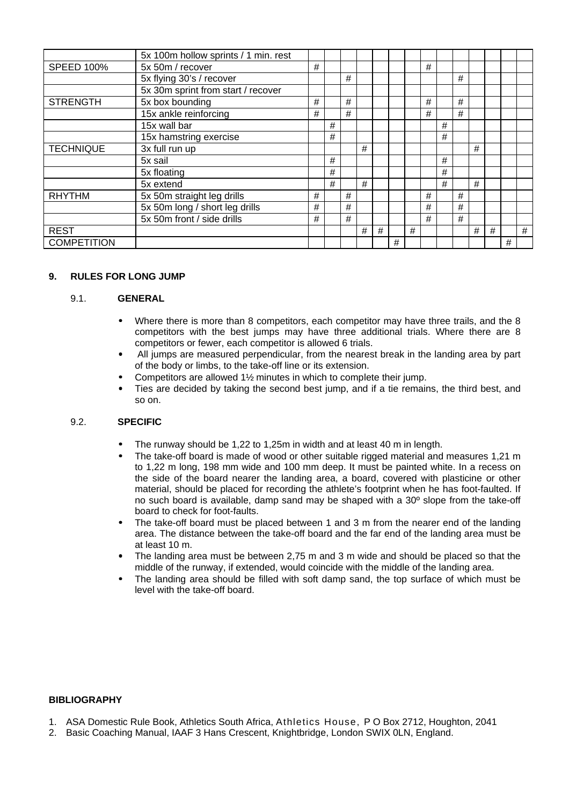|                    | 5x 100m hollow sprints / 1 min. rest |   |   |   |   |   |   |   |   |   |   |   |   |   |   |
|--------------------|--------------------------------------|---|---|---|---|---|---|---|---|---|---|---|---|---|---|
| <b>SPEED 100%</b>  | 5x 50m / recover                     | # |   |   |   |   |   |   | # |   |   |   |   |   |   |
|                    | 5x flying 30's / recover             |   |   | # |   |   |   |   |   |   | # |   |   |   |   |
|                    | 5x 30m sprint from start / recover   |   |   |   |   |   |   |   |   |   |   |   |   |   |   |
| <b>STRENGTH</b>    | 5x box bounding                      | # |   | # |   |   |   |   | # |   | # |   |   |   |   |
|                    | 15x ankle reinforcing                | # |   | # |   |   |   |   | # |   | # |   |   |   |   |
|                    | 15x wall bar                         |   | # |   |   |   |   |   |   | # |   |   |   |   |   |
|                    | 15x hamstring exercise               |   | # |   |   |   |   |   |   | # |   |   |   |   |   |
| <b>TECHNIQUE</b>   | 3x full run up                       |   |   |   | # |   |   |   |   |   |   | # |   |   |   |
|                    | 5x sail                              |   | # |   |   |   |   |   |   | # |   |   |   |   |   |
|                    | 5x floating                          |   | # |   |   |   |   |   |   | # |   |   |   |   |   |
|                    | 5x extend                            |   | # |   | # |   |   |   |   | # |   | # |   |   |   |
| <b>RHYTHM</b>      | 5x 50m straight leg drills           | # |   | # |   |   |   |   | # |   | # |   |   |   |   |
|                    | 5x 50m long / short leg drills       | # |   | # |   |   |   |   | # |   | # |   |   |   |   |
|                    | 5x 50m front / side drills           | # |   | # |   |   |   |   | # |   | # |   |   |   |   |
| <b>REST</b>        |                                      |   |   |   | # | # |   | # |   |   |   | # | # |   | # |
| <b>COMPETITION</b> |                                      |   |   |   |   |   | # |   |   |   |   |   |   | # |   |

### **9. RULES FOR LONG JUMP**

#### 9.1. **GENERAL**

- Where there is more than 8 competitors, each competitor may have three trails, and the 8 competitors with the best jumps may have three additional trials. Where there are 8 competitors or fewer, each competitor is allowed 6 trials.
- All jumps are measured perpendicular, from the nearest break in the landing area by part of the body or limbs, to the take-off line or its extension.
- Competitors are allowed 1½ minutes in which to complete their jump.
- Ties are decided by taking the second best jump, and if a tie remains, the third best, and so on.

#### 9.2. **SPECIFIC**

- The runway should be 1,22 to 1,25m in width and at least 40 m in length.
- The take-off board is made of wood or other suitable rigged material and measures 1.21 m to 1,22 m long, 198 mm wide and 100 mm deep. It must be painted white. In a recess on the side of the board nearer the landing area, a board, covered with plasticine or other material, should be placed for recording the athlete's footprint when he has foot-faulted. If no such board is available, damp sand may be shaped with a 30º slope from the take-off board to check for foot-faults.
- The take-off board must be placed between 1 and 3 m from the nearer end of the landing area. The distance between the take-off board and the far end of the landing area must be at least 10 m.
- The landing area must be between 2,75 m and 3 m wide and should be placed so that the middle of the runway, if extended, would coincide with the middle of the landing area.
- The landing area should be filled with soft damp sand, the top surface of which must be level with the take-off board.

#### **BIBLIOGRAPHY**

- 1. ASA Domestic Rule Book, Athletics South Africa, Athletics House, P O Box 2712, Houghton, 2041
- 2. Basic Coaching Manual, IAAF 3 Hans Crescent, Knightbridge, London SWIX 0LN, England.